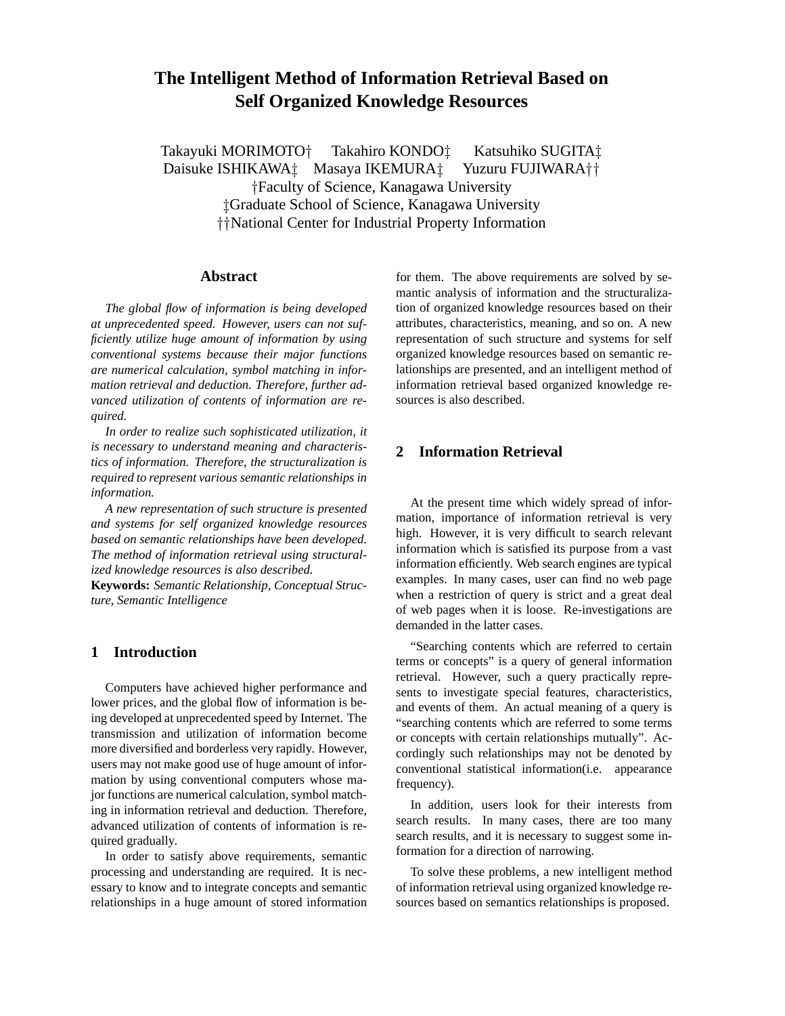# **The Intelligent Method of Information Retrieval Based on Self Organized Knowledge Resources**

Takayuki MORIMOTO<sup>†</sup> Takahiro KONDO<sup>†</sup> Katsuhiko SUGITA<sup>†</sup> Daisuke ISHIKAWA<sup>†</sup> Masaya IKEMURA<sup>†</sup> Yuzuru FUJIWARA†† Faculty of Science, Kanagawa University Graduate School of Science, Kanagawa University National Center for Industrial Property Information

### **Abstract**

*The global flow of information is being developed at unprecedented speed. However, users can not sufficiently utilize huge amount of information by using conventional systems because their major functions are numerical calculation, symbol matching in information retrieval and deduction. Therefore, further advanced utilization of contents of information are required.*

*In order to realize such sophisticated utilization, it is necessary to understand meaning and characteristics of information. Therefore, the structuralization is required to represent various semantic relationships in information.*

*A new representation of such structure is presented and systems for self organized knowledge resources based on semantic relationships have been developed. The method of information retrieval using structuralized knowledge resources is also described.*

**Keywords:** *Semantic Relationship, Conceptual Structure, Semantic Intelligence*

## **1 Introduction**

Computers have achieved higher performance and lower prices, and the global flow of information is being developed at unprecedented speed by Internet. The transmission and utilization of information become more diversified and borderless very rapidly. However, users may not make good use of huge amount of information by using conventional computers whose major functions are numerical calculation, symbol matching in information retrieval and deduction. Therefore, advanced utilization of contents of information is required gradually.

In order to satisfy above requirements, semantic processing and understanding are required. It is necessary to know and to integrate concepts and semantic relationships in a huge amount of stored information for them. The above requirements are solved by semantic analysis of information and the structuralization of organized knowledge resources based on their attributes, characteristics, meaning, and so on. A new representation of such structure and systems for self organized knowledge resources based on semantic relationships are presented, and an intelligent method of information retrieval based organized knowledge resources is also described.

# **2 Information Retrieval**

At the present time which widely spread of information, importance of information retrieval is very high. However, it is very difficult to search relevant information which is satisfied its purpose from a vast information efficiently. Web search engines are typical examples. In many cases, user can find no web page when a restriction of query is strict and a great deal of web pages when it is loose. Re-investigations are demanded in the latter cases.

"Searching contents which are referred to certain terms or concepts" is a query of general information retrieval. However, such a query practically represents to investigate special features, characteristics, and events of them. An actual meaning of a query is "searching contents which are referred to some terms or concepts with certain relationships mutually". Accordingly such relationships may not be denoted by conventional statistical information(i.e. appearance frequency).

In addition, users look for their interests from search results. In many cases, there are too many search results, and it is necessary to suggest some information for a direction of narrowing.

To solve these problems, a new intelligent method of information retrieval using organized knowledge resources based on semantics relationships is proposed.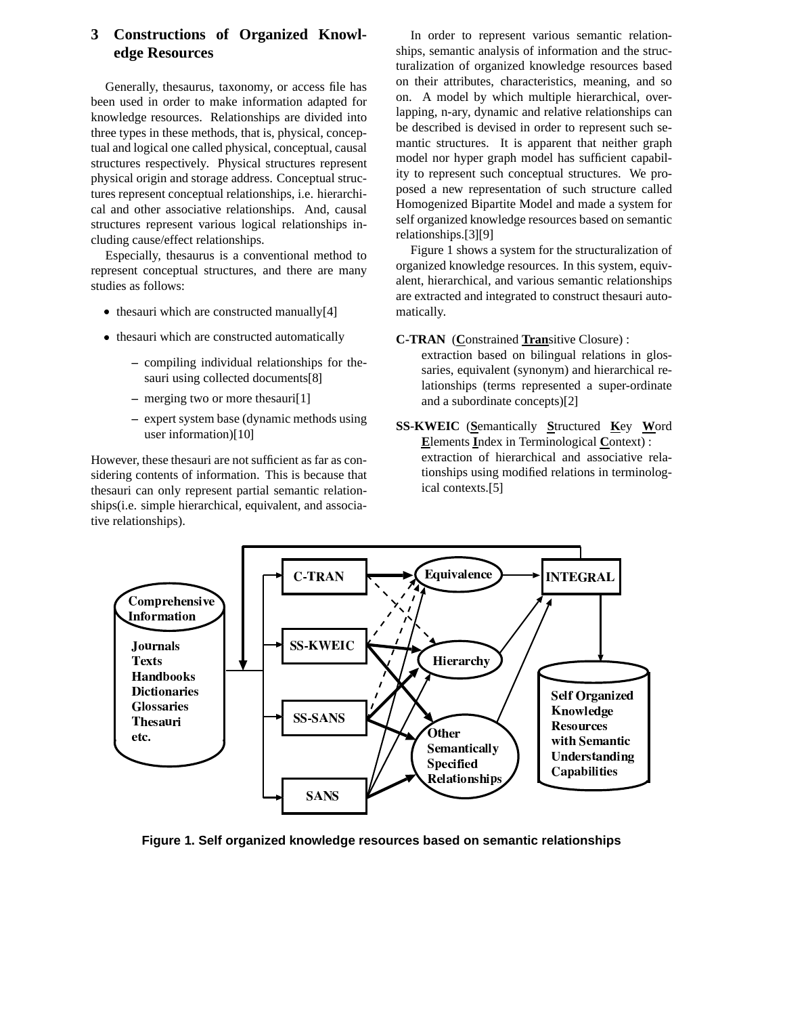### **Constructions of Organized Knowl-**3 edge Resources

Generally, thesaurus, taxonomy, or access file has been used in order to make information adapted for knowledge resources. Relationships are divided into three types in these methods, that is, physical, conceptual and logical one called physical, conceptual, causal structures respectively. Physical structures represent physical origin and storage address. Conceptual structures represent conceptual relationships, *i.e.* hierarchical and other associative relationships. And, causal structures represent various logical relationships including cause/effect relationships.

Especially, the saurus is a conventional method to represent conceptual structures, and there are many studies as follows:

- thesauri which are constructed manually[4]
- thesauri which are constructed automatically
	- compiling individual relationships for thesauri using collected documents[8]
	- $-$  merging two or more the sauri[1]
	- expert system base (dynamic methods using user information)[10]

However, these thesauri are not sufficient as far as considering contents of information. This is because that the sauri can only represent partial semantic relationships(i.e. simple hierarchical, equivalent, and associative relationships).

In order to represent various semantic relationships, semantic analysis of information and the structuralization of organized knowledge resources based on their attributes, characteristics, meaning, and so on. A model by which multiple hierarchical, overlapping, n-ary, dynamic and relative relationships can be described is devised in order to represent such semantic structures. It is apparent that neither graph model nor hyper graph model has sufficient capability to represent such conceptual structures. We proposed a new representation of such structure called Homogenized Bipartite Model and made a system for self organized knowledge resources based on semantic relationships.[3][9]

Figure 1 shows a system for the structuralization of organized knowledge resources. In this system, equivalent, hierarchical, and various semantic relationships are extracted and integrated to construct thesauri automatically.

**C-TRAN** (Constrained Transitive Closure):

extraction based on bilingual relations in glossaries, equivalent (synonym) and hierarchical relationships (terms represented a super-ordinate and a subordinate concepts)[2]

SS-KWEIC (Semantically Structured Key Word Elements Index in Terminological Context): extraction of hierarchical and associative relationships using modified relations in terminological contexts.[5]



Figure 1. Self organized knowledge resources based on semantic relationships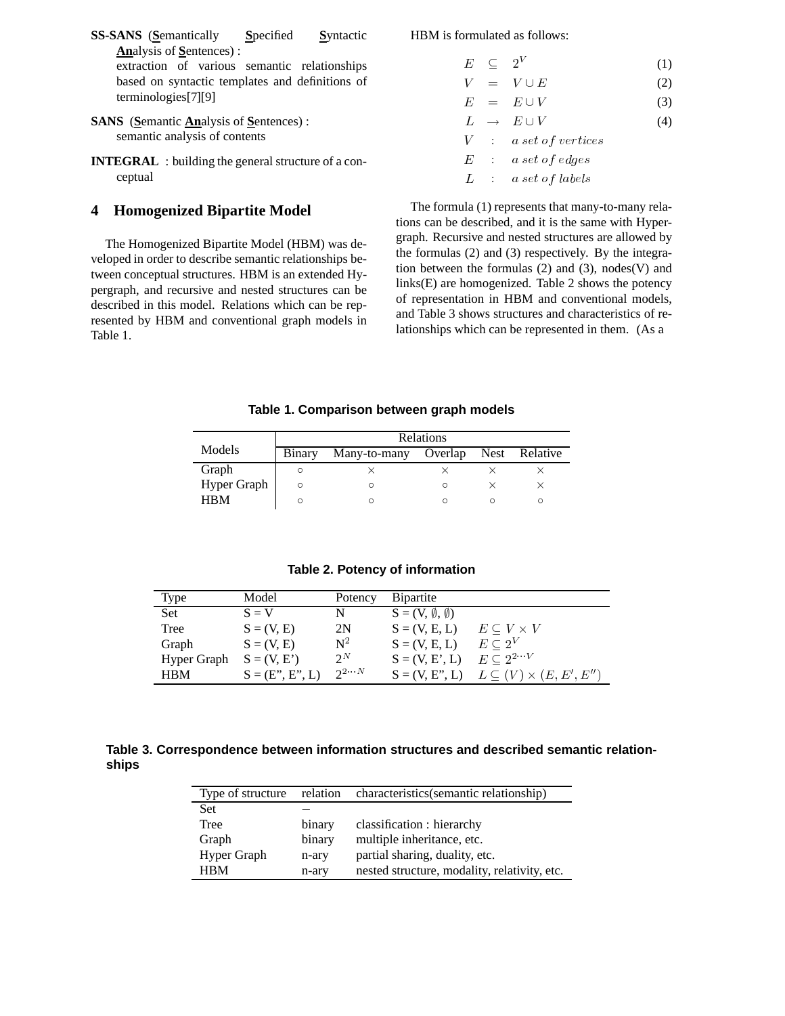- **SS-SANS** (**S**emantically **S**pecified **S**yntactic **An**alysis of **S**entences) : extraction of various semantic relationships based on syntactic templates and definitions of terminologies[7][9]
- **SANS** (**S**emantic **An**alysis of **S**entences) : semantic analysis of contents
- **INTEGRAL** : building the general structure of a conceptual

# **4 Homogenized Bipartite Model**

The Homogenized Bipartite Model (HBM) was developed in order to describe semantic relationships between conceptual structures. HBM is an extended Hypergraph, and recursive and nested structures can be described in this model. Relations which can be represented by HBM and conventional graph models in Table 1.

HBM is formulated as follows:

- $E \subseteq 2^V$  (1)  $V = V \cup E$  (2)
- $E = E \cup V$  (3)
- $L \rightarrow E \cup V$  (4)
- $\bar{V}$  $\sim 10^{-1}$  $a~set~of~vertices$  $E$  : a set of edges  $\sim 10^{-1}$

 $L$  : a set of labels

The formula (1) represents that many-to-many relations can be described, and it is the same with Hypergraph. Recursive and nested structures are allowed by the formulas (2) and (3) respectively. By the integration between the formulas  $(2)$  and  $(3)$ , nodes $(V)$  and links(E) are homogenized. Table 2 shows the potency of representation in HBM and conventional models, and Table 3 shows structures and characteristics of relationships which can be represented in them. (As a

**Table 1. Comparison between graph models**

|             | Relations |              |         |  |               |  |  |
|-------------|-----------|--------------|---------|--|---------------|--|--|
| Models      | Binary    | Many-to-many | Overlap |  | Nest Relative |  |  |
| Graph       |           |              |         |  |               |  |  |
| Hyper Graph | $\circ$   |              | O       |  |               |  |  |
| <b>HRM</b>  |           |              |         |  |               |  |  |

### **Table 2. Potency of information**

| <b>Type</b> | Model             | Potency          | <b>B</b> ipartite               |                                   |
|-------------|-------------------|------------------|---------------------------------|-----------------------------------|
| Set         | $S = V$           | N                | $S = (V, \emptyset, \emptyset)$ |                                   |
| Tree        | $S = (V, E)$      | 2N               | $S = (V, E, L)$                 | $E \subseteq V \times V$          |
| Graph       | $S = (V, E)$      | $\mathbf{N}^2$   | $S = (V, E, L)$                 | $E \subseteq 2^V$                 |
| Hyper Graph | $S = (V, E')$     | $2^N$            | $S = (V, E', L)$                | $E \subset 2^{2\cdots V}$         |
| <b>HBM</b>  | $S = (E', E', L)$ | $2^{2} \cdots N$ | $S = (V, E". L)$                | $L\subseteq (V)\times (E,E',E'')$ |

# **Table 3. Correspondence between information structures and described semantic relationships**

| Type of structure | relation | characteristics (semantic relationship)      |
|-------------------|----------|----------------------------------------------|
| Set               |          |                                              |
| Tree              | binary   | classification : hierarchy                   |
| Graph             | binary   | multiple inheritance, etc.                   |
| Hyper Graph       | n-ary    | partial sharing, duality, etc.               |
| <b>HRM</b>        | n-ary    | nested structure, modality, relativity, etc. |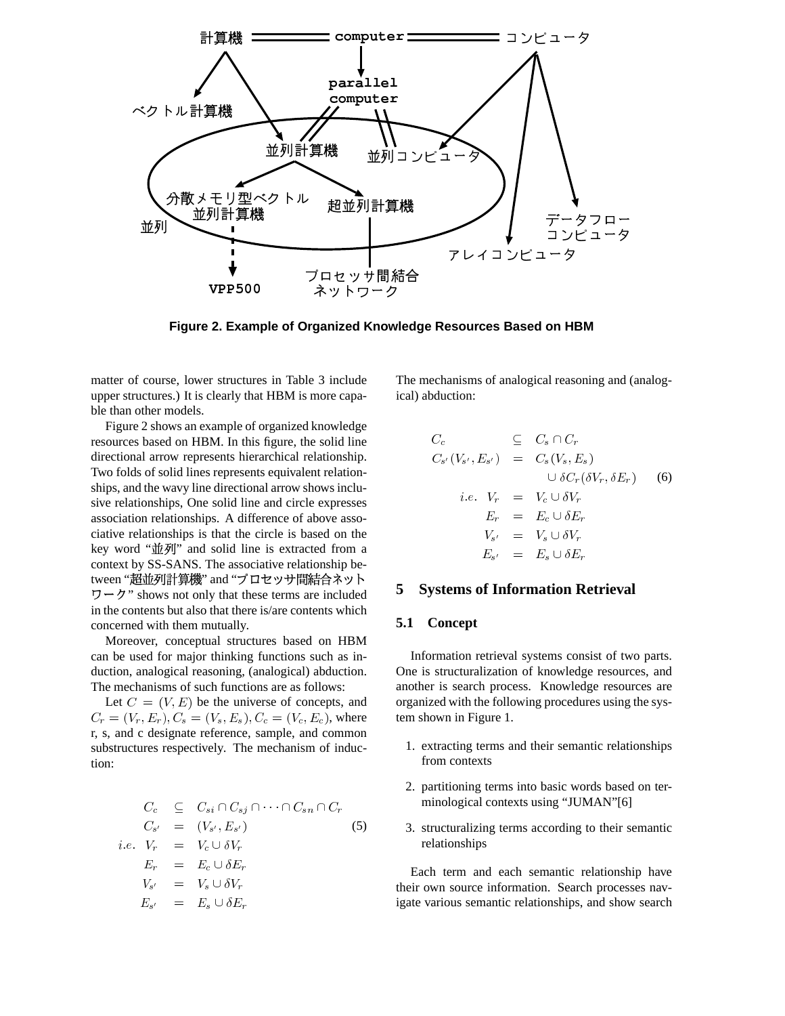

Figure 2. Example of Organized Knowledge Resources Based on HBM

matter of course, lower structures in Table 3 include upper structures.) It is clearly that HBM is more capable than other models.

Figure 2 shows an example of organized knowledge resources based on HBM. In this figure, the solid line directional arrow represents hierarchical relationship. Two folds of solid lines represents equivalent relationships, and the wavy line directional arrow shows inclusive relationships, One solid line and circle expresses association relationships. A difference of above associative relationships is that the circle is based on the key word "並列" and solid line is extracted from a context by SS-SANS. The associative relationship between "超並列計算機" and "プロセッサ間結合ネット in the contents but also that there is/are contents which concerned with them mutually.

Moreover, conceptual structures based on HBM can be used for major thinking functions such as induction, analogical reasoning, (analogical) abduction. The mechanisms of such functions are as follows:

Let  $C = (V, E)$  be the universe of concepts, and  $C_r = (V_r, E_r), C_s = (V_s, E_s), C_c = (V_c, E_c)$ , where r, s, and c designate reference, sample, and common substructures respectively. The mechanism of induction:

$$
C_c \subseteq C_{si} \cap C_{sj} \cap \cdots \cap C_{sn} \cap C_r
$$
  
\n
$$
C_{s'} = (V_{s'}, E_{s'})
$$
  
\n*i.e.*  $V_r = V_c \cup \delta V_r$   
\n
$$
E_r = E_c \cup \delta E_r
$$
  
\n
$$
V_{s'} = V_s \cup \delta V_r
$$
  
\n
$$
E_{s'} = E_s \cup \delta E_r
$$

The mechanisms of analogical reasoning and (analogical) abduction:

$$
C_c \subseteq C_s \cap C_r
$$
  
\n
$$
C_{s'}(V_{s'}, E_{s'}) = C_s(V_s, E_s)
$$
  
\n
$$
\cup \delta C_r(\delta V_r, \delta E_r)
$$
  
\n
$$
i.e. V_r = V_c \cup \delta V_r
$$
  
\n
$$
E_r = E_c \cup \delta E_r
$$
  
\n
$$
V_{s'} = V_s \cup \delta V_r
$$
  
\n
$$
E_{s'} = E_s \cup \delta E_r
$$

#### **Systems of Information Retrieval** 5

#### 5.1 Concept

Information retrieval systems consist of two parts. One is structuralization of knowledge resources, and another is search process. Knowledge resources are organized with the following procedures using the system shown in Figure 1.

- 1. extracting terms and their semantic relationships from contexts
- 2. partitioning terms into basic words based on terminological contexts using "JUMAN"[6]
- 3. structuralizing terms according to their semantic relationships

Each term and each semantic relationship have their own source information. Search processes navigate various semantic relationships, and show search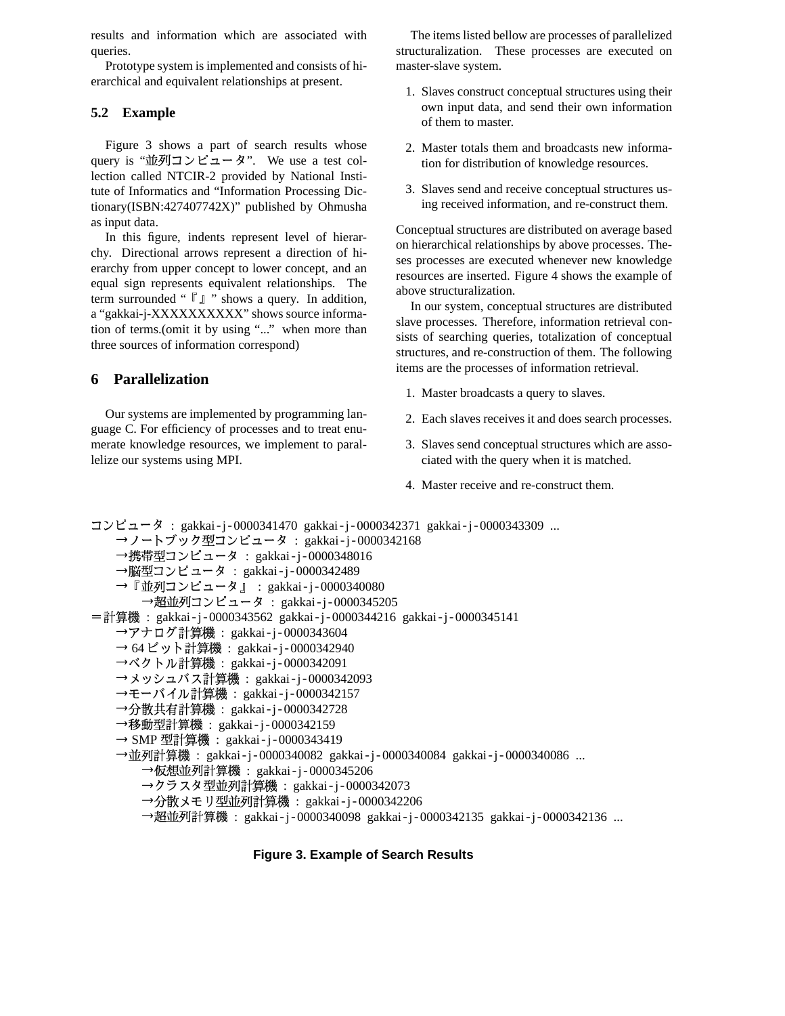results and information which are associated with queries.

Prototype system is implemented and consists of hierarchical and equivalent relationships at present.

### 5.2 Example

Figure 3 shows a part of search results whose query is "並列コンピュータ". We use a test collection called NTCIR-2 provided by National Institute of Informatics and "Information Processing Dictionary(ISBN:427407742X)" published by Ohmusha as input data.

In this figure, indents represent level of hierarchy. Directional arrows represent a direction of hierarchy from upper concept to lower concept, and an equal sign represents equivalent relationships. The term surrounded " $\lceil \cdot \rceil$  " shows a query. In addition, a "gakkai-j-XXXXXXXXXX" shows source information of terms.(omit it by using "..." when more than three sources of information correspond)

#### 6 **Parallelization**

Our systems are implemented by programming language C. For efficiency of processes and to treat enumerate knowledge resources, we implement to parallelize our systems using MPI.

The items listed bellow are processes of parallelized structuralization. These processes are executed on master-slave system.

- 1. Slaves construct conceptual structures using their own input data, and send their own information of them to master.
- 2. Master totals them and broadcasts new information for distribution of knowledge resources.
- 3. Slaves send and receive conceptual structures using received information, and re-construct them.

Conceptual structures are distributed on average based on hierarchical relationships by above processes. Theses processes are executed whenever new knowledge resources are inserted. Figure 4 shows the example of above structuralization.

In our system, conceptual structures are distributed slave processes. Therefore, information retrieval consists of searching queries, totalization of conceptual structures, and re-construction of them. The following items are the processes of information retrieval.

- 1. Master broadcasts a query to slaves.
- 2. Each slaves receives it and does search processes.
- 3. Slaves send conceptual structures which are associated with the query when it is matched.
- 4. Master receive and re-construct them.

```
コンピュータ : gakkai-j-0000341470 gakkai-j-0000342371 gakkai-j-0000343309 ...
   →ノートブック型コンピュータ : gakkai-j-0000342168
   →携帯型コンピュータ : gakkai-j-0000348016
   →脳型コンピュータ: gakkai-j-0000342489
   → 『並列コンピュータ』 : gakkai-j-0000340080
      →超並列コンピュータ: gakkai-j-0000345205
=計算機 :gakkai-j-0000343562 gakkai-j-0000344216 gakkai-j-0000345141
   →アナログ計算機 : gakkai-j-0000343604
   → 64ビット計算機 : gakkai-j-0000342940
   →ベクトル計算機 : gakkai-j-0000342091
   →メッシュバス計算機 :gakkai-j-0000342093
   →モーバイル計算機 : gakkai-j-0000342157
   →分散共有計算機 :gakkai-j-0000342728
   →移動型計算機 :gakkai-j-0000342159
   → SMP 型計算機 : gakkai-j-0000343419
   →並列計算機 :gakkai-j-0000340082 gakkai-j-0000340084 gakkai-j-0000340086 ...
      →仮想並列計算機 : gakkai-j-0000345206
      →クラスタ型並列計算機: gakkai-j-0000342073
      →分散メモリ型並列計算機 :gakkai-j-0000342206
      →超並列計算機 : gakkai-j-0000340098 gakkai-j-0000342135 gakkai-j-0000342136 ...
```
### **Figure 3. Example of Search Results**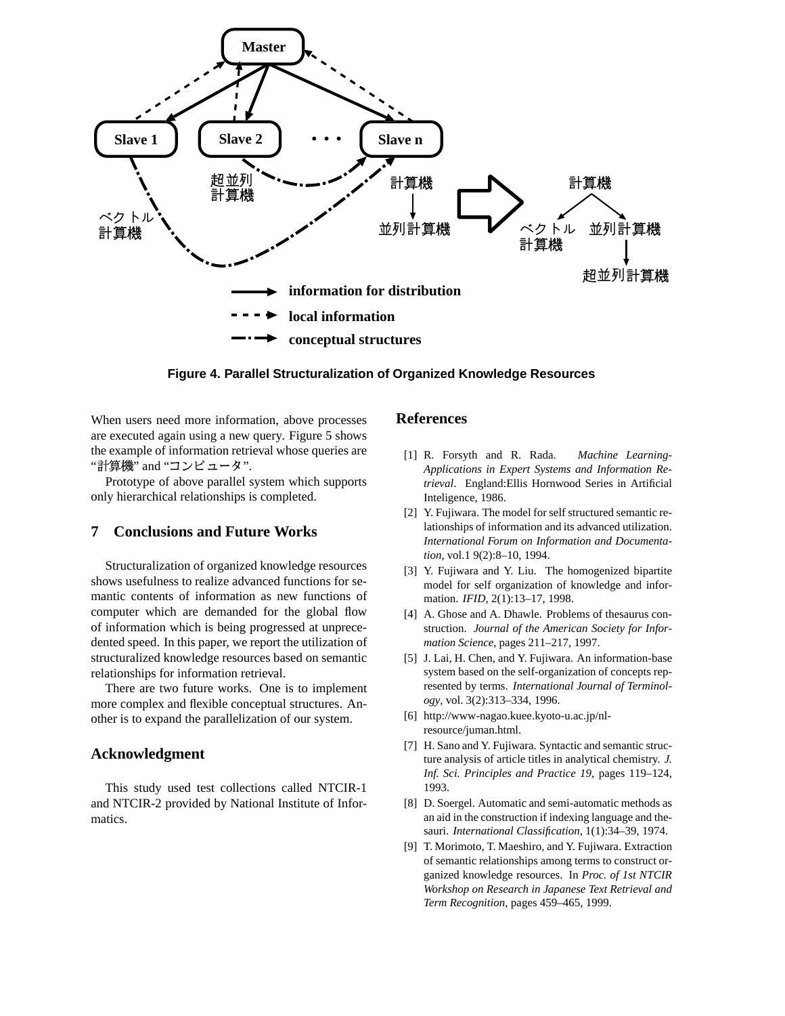

**Figure 4. Parallel Structuralization of Organized Knowledge Resources**

When users need more information, above processes are executed again using a new query. Figure 5 shows the example of information retrieval whose queries are "計算機" and "コンピュータ".

Prototype of above parallel system which supports only hierarchical relationships is completed.

# **7 Conclusions and Future Works**

Structuralization of organized knowledge resources shows usefulness to realize advanced functions for semantic contents of information as new functions of computer which are demanded for the global flow of information which is being progressed at unprecedented speed. In this paper, we report the utilization of structuralized knowledge resources based on semantic relationships for information retrieval.

There are two future works. One is to implement more complex and flexible conceptual structures. Another is to expand the parallelization of our system.

### **Acknowledgment**

This study used test collections called NTCIR-1 and NTCIR-2 provided by National Institute of Informatics.

### **References**

- [1] R. Forsyth and R. Rada. *Machine Learning-Applications in Expert Systems and Information Retrieval*. England:Ellis Hornwood Series in Artificial Inteligence, 1986.
- [2] Y. Fujiwara. The model for self structured semantic relationships of information and its advanced utilization. *International Forum on Information and Documentation*, vol.1 9(2):8–10, 1994.
- [3] Y. Fujiwara and Y. Liu. The homogenized bipartite model for self organization of knowledge and information. *IFID*, 2(1):13–17, 1998.
- [4] A. Ghose and A. Dhawle. Problems of thesaurus construction. *Journal of the American Society for Information Science*, pages 211–217, 1997.
- [5] J. Lai, H. Chen, and Y. Fujiwara. An information-base system based on the self-organization of concepts represented by terms. *International Journal of Terminology*, vol. 3(2):313–334, 1996.
- [6] http://www-nagao.kuee.kyoto-u.ac.jp/nlresource/juman.html.
- [7] H. Sano and Y. Fujiwara. Syntactic and semantic structure analysis of article titles in analytical chemistry. *J. Inf. Sci. Principles and Practice 19*, pages 119–124, 1993.
- [8] D. Soergel. Automatic and semi-automatic methods as an aid in the construction if indexing language and thesauri. *International Classification*, 1(1):34–39, 1974.
- [9] T. Morimoto, T. Maeshiro, and Y. Fujiwara. Extraction of semantic relationships among terms to construct organized knowledge resources. In *Proc. of 1st NTCIR Workshop on Research in Japanese Text Retrieval and Term Recognition*, pages 459–465, 1999.